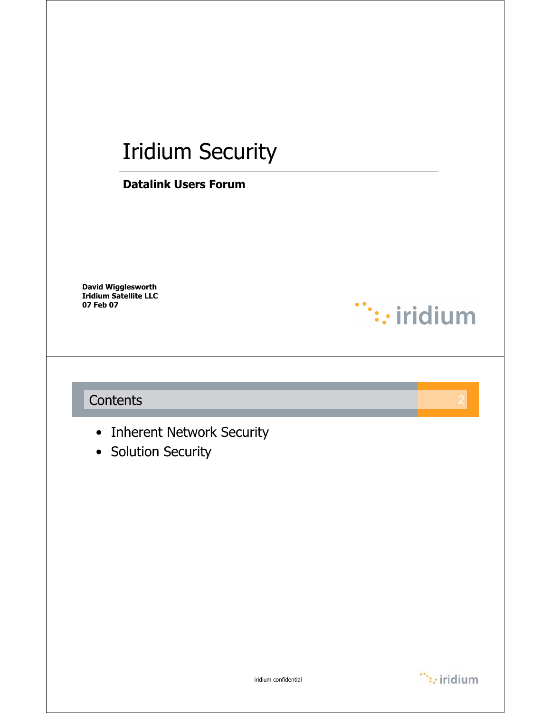# Iridium Security

#### **Datalink Users Forum**

**David Wigglesworth Iridium Satellite LLC 07 Feb 07**

### **Contents**

- Inherent Network Security
- Solution Security



 $\dddot{\hspace{1cm}}$ : iridium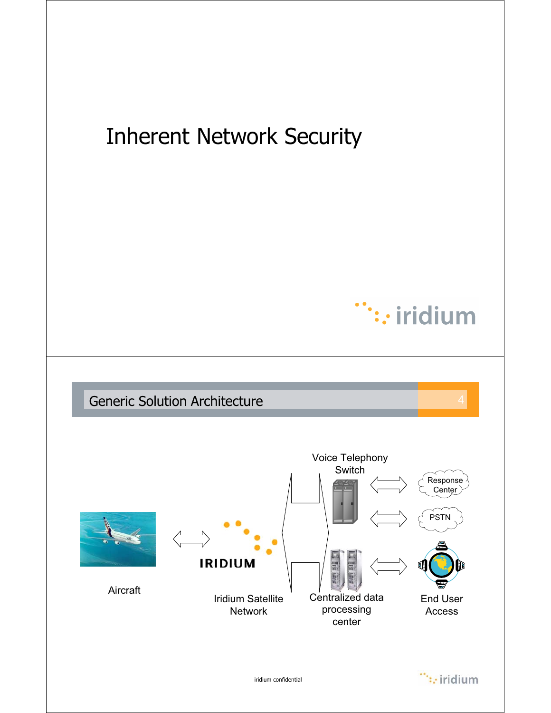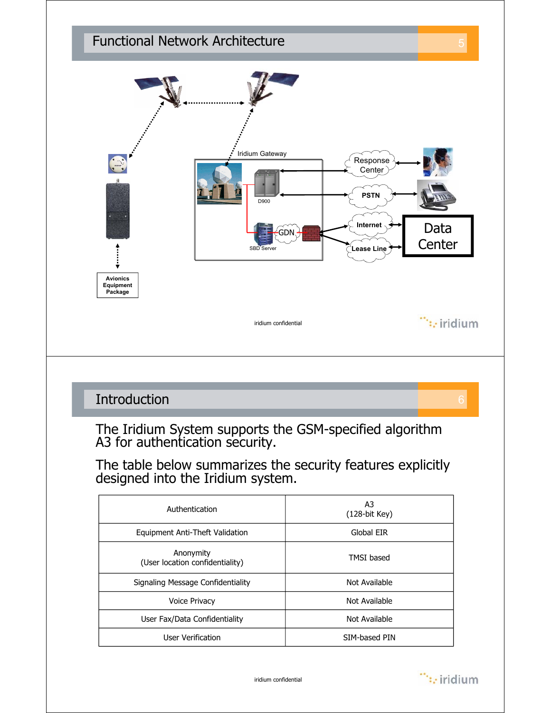

## **Introduction**

The Iridium System supports the GSM-specified algorithm A3 for authentication security.

The table below summarizes the security features explicitly designed into the Iridium system.

| Authentication                               | A3<br>$(128-bit$ Key) |
|----------------------------------------------|-----------------------|
| Equipment Anti-Theft Validation              | Global EIR            |
| Anonymity<br>(User location confidentiality) | <b>TMSI</b> based     |
| Signaling Message Confidentiality            | Not Available         |
| <b>Voice Privacy</b>                         | Not Available         |
| User Fax/Data Confidentiality                | Not Available         |
| User Verification                            | SIM-based PIN         |

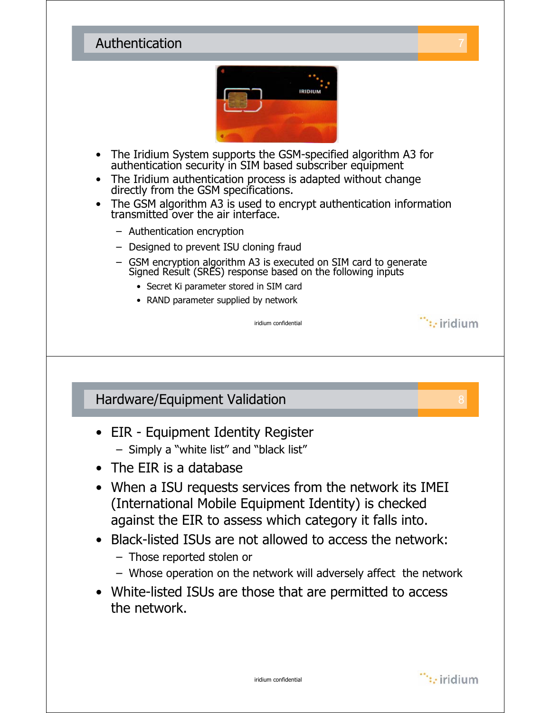#### **Authentication**



- The Iridium System supports the GSM-specified algorithm A3 for authentication security in SIM based subscriber equipment
- The Iridium authentication process is adapted without change directly from the GSM specifications.
- The GSM algorithm A3 is used to encrypt authentication information transmitted over the air interface.
	- Authentication encryption
	- Designed to prevent ISU cloning fraud
	- GSM encryption algorithm A3 is executed on SIM card to generate Signed Result (SRES) response based on the following inputs

iridium confidential

- Secret Ki parameter stored in SIM card
- RAND parameter supplied by network

Hardware/Equipment Validation 8

- EIR Equipment Identity Register – Simply a "white list" and "black list"
- The EIR is a database
- When a ISU requests services from the network its IMEI (International Mobile Equipment Identity) is checked against the EIR to assess which category it falls into.
- Black-listed ISUs are not allowed to access the network:
	- Those reported stolen or
	- Whose operation on the network will adversely affect the network
- White-listed ISUs are those that are permitted to access the network.

 $\dddot{\mathbf{r}}$ : iridium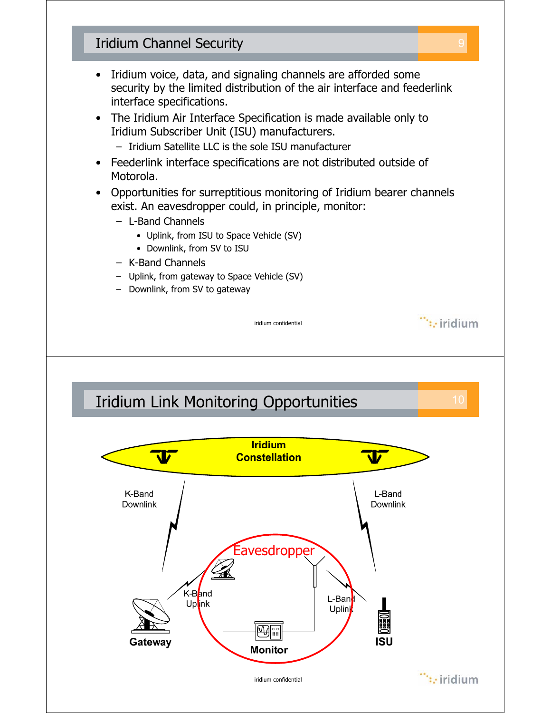## Iridium Channel Security 9

- Iridium voice, data, and signaling channels are afforded some security by the limited distribution of the air interface and feederlink interface specifications.
- The Iridium Air Interface Specification is made available only to Iridium Subscriber Unit (ISU) manufacturers.
	- Iridium Satellite LLC is the sole ISU manufacturer
- Feederlink interface specifications are not distributed outside of Motorola.
- Opportunities for surreptitious monitoring of Iridium bearer channels exist. An eavesdropper could, in principle, monitor:

iridium confidential

- L-Band Channels
	- Uplink, from ISU to Space Vehicle (SV)
	- Downlink, from SV to ISU
- K-Band Channels
- Uplink, from gateway to Space Vehicle (SV)
- Downlink, from SV to gateway



 $\dddot{\mathbf{r}}$ : iridium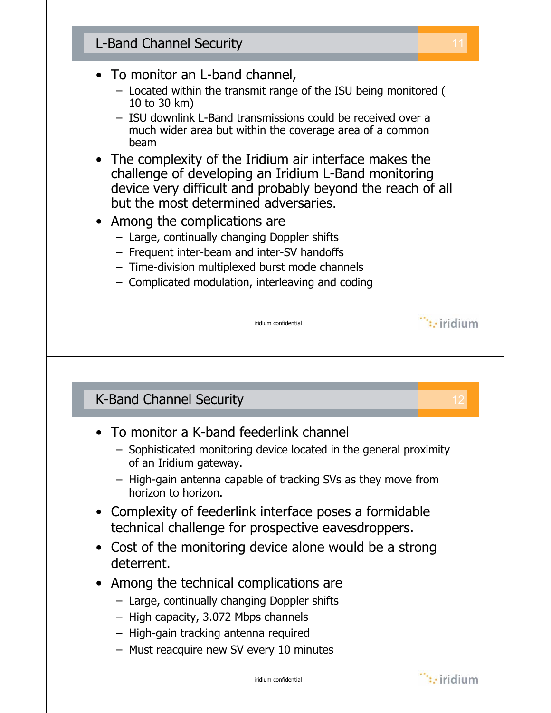## **L-Band Channel Security** • To monitor an L-band channel, – Located within the transmit range of the ISU being monitored ( 10 to 30 km) – ISU downlink L-Band transmissions could be received over a much wider area but within the coverage area of a common beam • The complexity of the Iridium air interface makes the challenge of developing an Iridium L-Band monitoring device very difficult and probably beyond the reach of all but the most determined adversaries. • Among the complications are – Large, continually changing Doppler shifts – Frequent inter-beam and inter-SV handoffs – Time-division multiplexed burst mode channels – Complicated modulation, interleaving and coding  $\dddot{ }$ : iridium iridium confidential **K-Band Channel Security** • To monitor a K-band feederlink channel – Sophisticated monitoring device located in the general proximity of an Iridium gateway. – High-gain antenna capable of tracking SVs as they move from horizon to horizon. • Complexity of feederlink interface poses a formidable technical challenge for prospective eavesdroppers. • Cost of the monitoring device alone would be a strong deterrent. • Among the technical complications are – Large, continually changing Doppler shifts – High capacity, 3.072 Mbps channels – High-gain tracking antenna required – Must reacquire new SV every 10 minutes

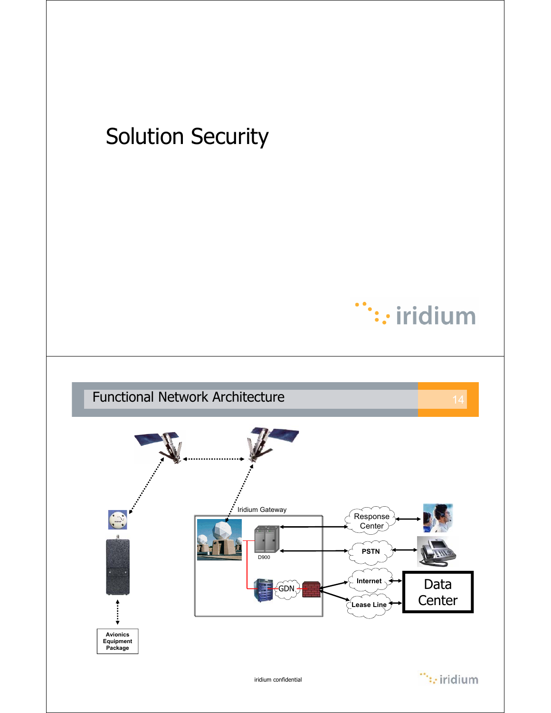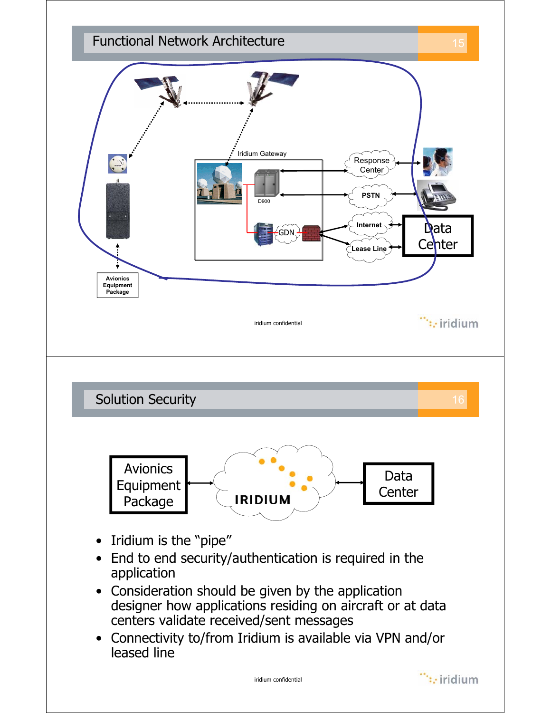